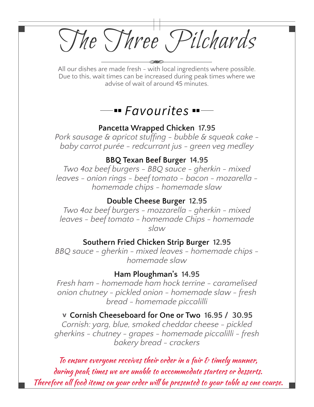The Three Pilchards

All our dishes are made fresh - with local ingredients where possible. Due to this, wait times can be increased during peak times where we advise of wait of around 45 minutes.

# *Favourites*

#### **Pancetta Wrapped Chicken 17.95**

*Pork sausage & apricot stuffing - bubble & squeak cake baby carrot purée - redcurrant jus - green veg medley*

#### **BBQ Texan Beef Burger 14.95**

*Two 4oz beef burgers - BBQ sauce - gherkin - mixed leaves - onion rings - beef tomato - bacon - mozarella homemade chips - homemade slaw*

#### **Double Cheese Burger 12.95**

*Two 4oz beef burgers - mozzarella - gherkin - mixed leaves - beef tomato - homemade Chips - homemade slaw*

#### **Southern Fried Chicken Strip Burger 12.95**

*BBQ sauce - gherkin - mixed leaves - homemade chips homemade slaw*

#### **Ham Ploughman's 14.95**

*Fresh ham - homemade ham hock terrine - caramelised onion chutney - pickled onion - homemade slaw - fresh bread - homemade piccalilli*

# † **Cornish Cheeseboard for One or Two 16.95 / 30.95**

*Cornish: yarg, blue, smoked cheddar cheese - pickled gherkins - chutney - grapes - homemade piccalilli - fresh bakery bread - crackers*

To ensure everyone receives their order in a fair  $\epsilon$  timely manner, during peak times we are unable to accommodate starters or desserts. Therefore all food items on your order will be presented to your table as one course.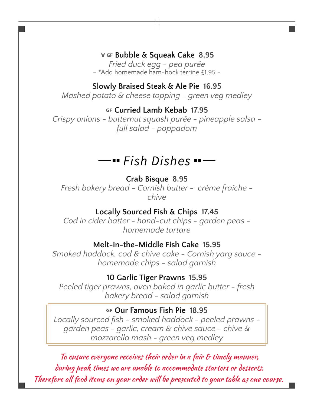# †… **Bubble & Squeak Cake 8.95**

*Fried duck egg - pea purée* – \*Add homemade ham-hock terrine £1.95 –

## **Slowly Braised Steak & Ale Pie 16.95**

*Mashed potato & cheese topping - green veg medley*

## … **Curried Lamb Kebab 17.95**

*Crispy onions - butternut squash purée - pineapple salsa full salad - poppadom*

# *Fish Dishes*

# **Crab Bisque 8.95** *Fresh bakery bread - Cornish butter - crème fraîche chive*

# **Locally Sourced Fish & Chips 17.45**

*Cod in cider batter - hand-cut chips - garden peas homemade tartare*

# **Melt-in-the-Middle Fish Cake 15.95**

*Smoked haddock, cod & chive cake - Cornish yarg sauce homemade chips - salad garnish*

#### **10 Garlic Tiger Prawns 15.95**

*Peeled tiger prawns, oven baked in garlic butter - fresh bakery bread - salad garnish*

## … **Our Famous Fish Pie 18.95**

*Locally sourced fish - smoked haddock - peeled prawns garden peas - garlic, cream & chive sauce - chive & mozzarella mash - green veg medley*

To ensure everyone receives their order in a fair  $\epsilon$  timely manner, during peak times we are unable to accommodate starters or desserts. Therefore all food items on your order will be presented to your table as one course.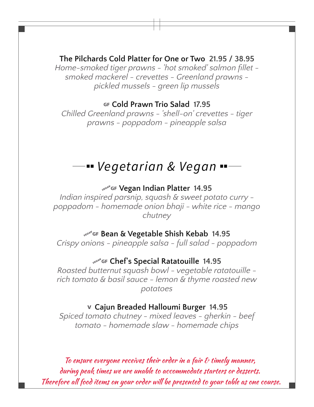## **The Pilchards Cold Platter for One or Two 21.95 / 38.95**

*Home-smoked tiger prawns - 'hot smoked' salmon fillet smoked mackerel - crevettes - Greenland prawns pickled mussels - green lip mussels*

## … **Cold Prawn Trio Salad 17.95**

*Chilled Greenland prawns - 'shell-on' crevettes - tiger prawns - poppadom - pineapple salsa*

# *Vegetarian & Vegan*

#### ¼… **Vegan Indian Platter 14.95**

*Indian inspired parsnip, squash & sweet potato curry poppadom - homemade onion bhaji - white rice - mango chutney*

#### ¼… **Bean & Vegetable Shish Kebab 14.95**

*Crispy onions - pineapple salsa - full salad - poppadom*

#### ¼… **Chef's Special Ratatouille 14.95**

*Roasted butternut squash bowl - vegetable ratatouille rich tomato & basil sauce - lemon & thyme roasted new potatoes*

#### † **Cajun Breaded Halloumi Burger 14.95**

*Spiced tomato chutney - mixed leaves - gherkin - beef tomato - homemade slaw - homemade chips*

To ensure everyone receives their order in a fair  $\epsilon$  timely manner, during peak times we are unable to accommodate starters or desserts. Therefore all food items on your order will be presented to your table as one course.